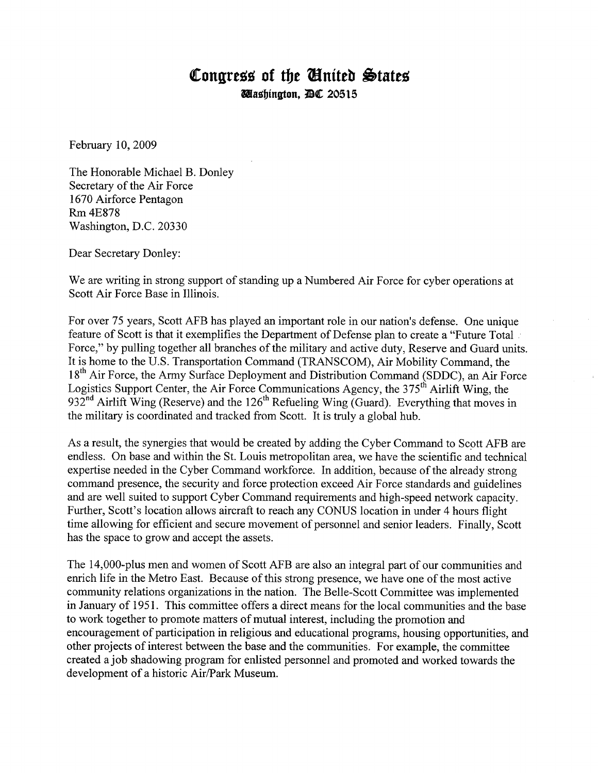## **Congress of the United States Rlasbtngton, .~ 20515**

February 10, 2009

The Honorable Michael B. Donley Secretary of the Air Force 1670 Airforce Pentagon Rm4E878 Washington, D.C. 20330

Dear Secretary Donley:

We are writing in strong support of standing up a Numbered Air Force for cyber operations at Scott Air Force Base in Illinois.

For over 75 years, Scott AFB has played an important role in our nation's defense. One unique feature of Scott is that it exemplifies the Department of Defense plan to create a "Future Total Force," by pulling together all branches of the military and active duty, Reserve and Guard units. It is home to the U.S. Transportation Command (TRANSCOM), Air Mobility Command, the 18<sup>th</sup> Air Force, the Army Surface Deployment and Distribution Command (SDDC), an Air Force Logistics Support Center, the Air Force Communications Agency, the 375<sup>th</sup> Airlift Wing, the  $932<sup>nd</sup>$  Airlift Wing (Reserve) and the 126<sup>th</sup> Refueling Wing (Guard). Everything that moves in the military is coordinated and tracked from Scott. It is truly a global hub.

As a result, the synergies that would be created by adding the Cyber Command to Scott AFB are endless. On base and within the St. Louis metropolitan area, we have the scientific and technical expertise needed in the Cyber Command workforce. In addition, because of the already strong command presence, the security and force protection exceed Air Force standards and guidelines and are well suited to support Cyber Command requirements and high-speed network capacity. Further, Scott's location allows aircraft to reach any CONUS location in under 4 hours flight time allowing for efficient and secure movement of personnel and senior leaders. Finally, Scott has the space to grow and accept the assets.

The 14,000-plus men and women of Scott AFB are also an integral part of our communities and enrich life in the Metro East. Because of this strong presence, we have one of the most active community relations organizations in the nation. The Belle-Scott Committee was implemented in January of 1951. This committee offers a direct means for the local communities and the base to work together to promote matters of mutual interest, including the promotion and encouragement of participation in religious and educational programs, housing opportunities, and other projects of interest between the base and the communities. For example, the committee created ajob shadowing program for enlisted personnel and promoted and worked towards the development of a historic Air/Park Museum.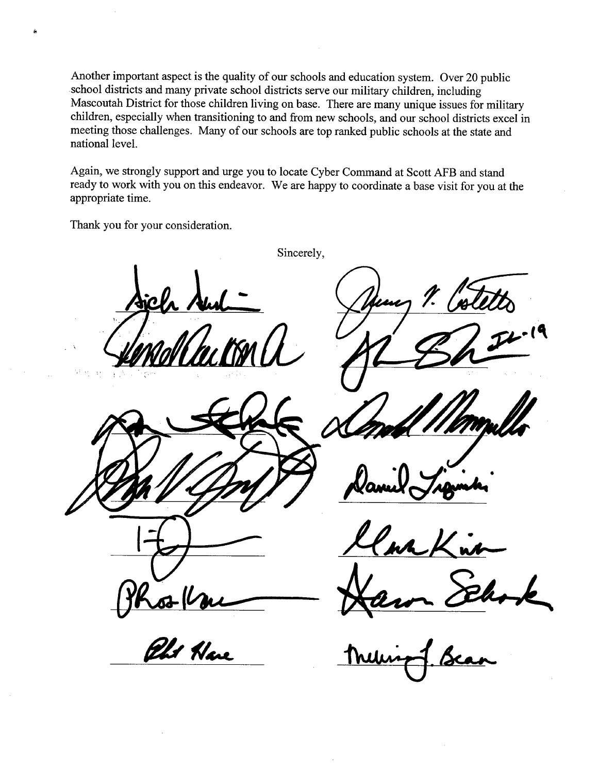Another important aspect is the quality of our schools and education system. Over 20 public school districts and many private school districts serve our military children, including Mascoutah District for those children living on base. There are many unique issues for military children, especially when transitioning to and from new schools, and our school districts excel in meeting those challenges. Many of our schools are top ranked public schools at the state and national level.

Again, we strongly support and urge you to locate Cyber Command at Scott AFB and stand ready to work with you on this endeavor. We are happy to coordinate a base visit for you at the appropriate time.

Thank you for your consideration.

Corron<br>*Els* Hare

Sincerely,

 $1.60$